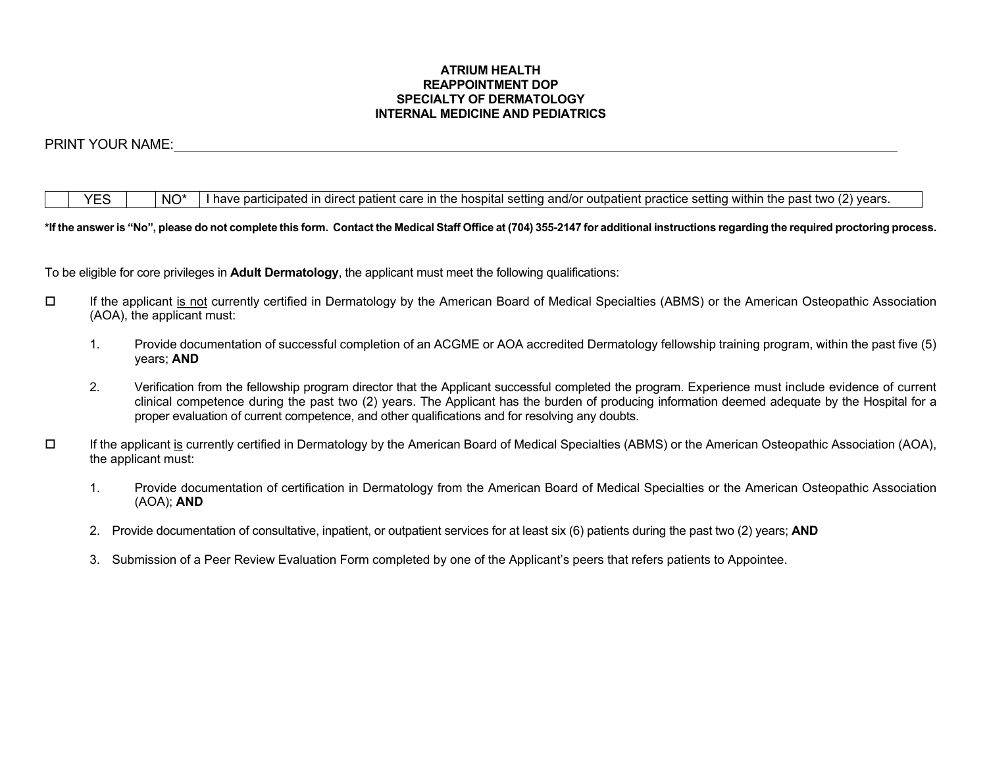#### **ATRIUM HEALTH REAPPOINTMENT DOP SPECIALTY OF DERMATOLOGY INTERNAL MEDICINE AND PEDIATRICS**

## PRINT YOUR NAME:

| $\sqrt{2}$<br>---<br>within<br>.<br>$\overline{\mathsf{M}}$ $\mathsf{C}^*$<br>. settir<br>* tw∩ .<br>ın<br>$+b$<br>1100r<br>and/or<br>outpatient<br>. practice<br>cor<br>patient<br>nave<br>--<br>setting<br>partic<br>iosbita<br>…⊔rect<br>. <i>.</i><br>оатес<br>יי וסט<br><b>MOLL</b><br>vcaio. |
|----------------------------------------------------------------------------------------------------------------------------------------------------------------------------------------------------------------------------------------------------------------------------------------------------|
|----------------------------------------------------------------------------------------------------------------------------------------------------------------------------------------------------------------------------------------------------------------------------------------------------|

#### **\*If the answer is "No", please do not complete this form. Contact the Medical Staff Office at (704) 355-2147 for additional instructions regarding the required proctoring process.**

To be eligible for core privileges in **Adult Dermatology**, the applicant must meet the following qualifications:

- If the applicant is not currently certified in Dermatology by the American Board of Medical Specialties (ABMS) or the American Osteopathic Association (AOA), the applicant must:
	- 1. Provide documentation of successful completion of an ACGME or AOA accredited Dermatology fellowship training program, within the past five (5) years; **AND**
	- 2. Verification from the fellowship program director that the Applicant successful completed the program. Experience must include evidence of current clinical competence during the past two (2) years. The Applicant has the burden of producing information deemed adequate by the Hospital for a proper evaluation of current competence, and other qualifications and for resolving any doubts.
- $\Box$  If the applicant is currently certified in Dermatology by the American Board of Medical Specialties (ABMS) or the American Osteopathic Association (AOA), the applicant must:
	- 1. Provide documentation of certification in Dermatology from the American Board of Medical Specialties or the American Osteopathic Association (AOA); **AND**
	- 2. Provide documentation of consultative, inpatient, or outpatient services for at least six (6) patients during the past two (2) years; **AND**
	- 3. Submission of a Peer Review Evaluation Form completed by one of the Applicant's peers that refers patients to Appointee.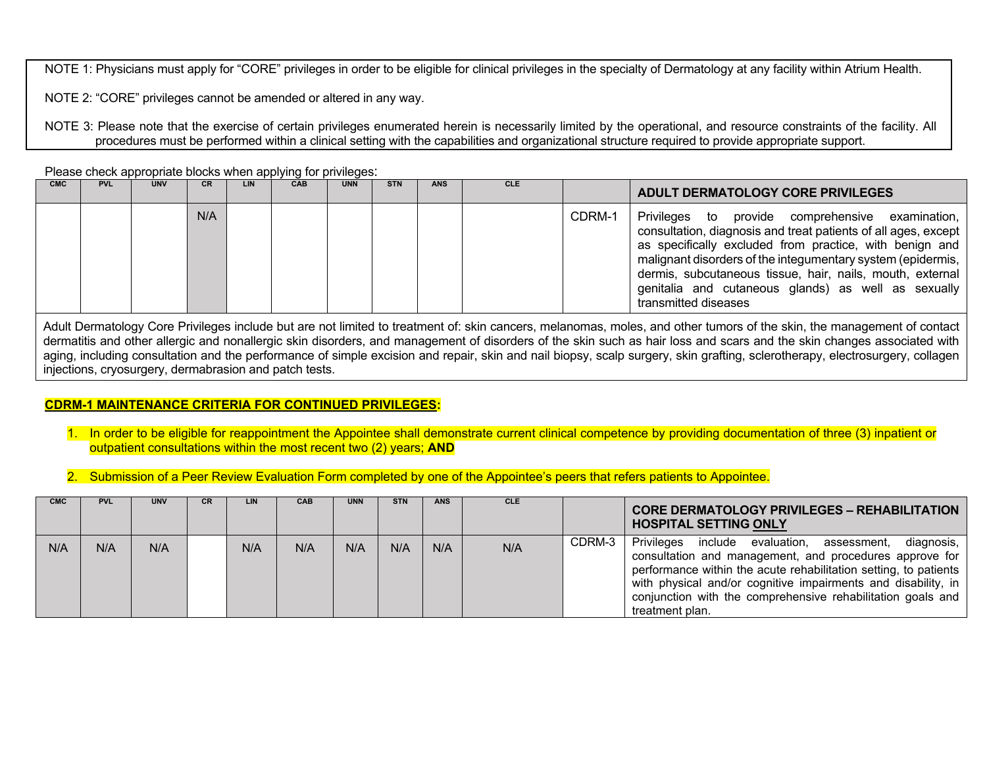NOTE 1: Physicians must apply for "CORE" privileges in order to be eligible for clinical privileges in the specialty of Dermatology at any facility within Atrium Health.

NOTE 2: "CORE" privileges cannot be amended or altered in any way.

NOTE 3: Please note that the exercise of certain privileges enumerated herein is necessarily limited by the operational, and resource constraints of the facility. All procedures must be performed within a clinical setting with the capabilities and organizational structure required to provide appropriate support.

Please check appropriate blocks when applying for privileges:

| <b>CMC</b> | <b>PVL</b> | <b>UNV</b> | CR  | LIN | <b>CAB</b> | <b>UNN</b> | <b>STN</b> | <b>ANS</b> | <b>CLE</b> |        | ADULT DERMATOLOGY CORE PRIVILEGES                                                                                                                                                                                                                                                                                                                                                              |
|------------|------------|------------|-----|-----|------------|------------|------------|------------|------------|--------|------------------------------------------------------------------------------------------------------------------------------------------------------------------------------------------------------------------------------------------------------------------------------------------------------------------------------------------------------------------------------------------------|
|            |            |            | N/A |     |            |            |            |            |            | CDRM-1 | Privileges to<br>provide comprehensive<br>examination,<br>consultation, diagnosis and treat patients of all ages, except<br>as specifically excluded from practice, with benign and<br>malignant disorders of the integumentary system (epidermis,<br>dermis, subcutaneous tissue, hair, nails, mouth, external<br>genitalia and cutaneous glands) as well as sexually<br>transmitted diseases |

Adult Dermatology Core Privileges include but are not limited to treatment of: skin cancers, melanomas, moles, and other tumors of the skin, the management of contact dermatitis and other allergic and nonallergic skin disorders, and management of disorders of the skin such as hair loss and scars and the skin changes associated with aging, including consultation and the performance of simple excision and repair, skin and nail biopsy, scalp surgery, skin grafting, sclerotherapy, electrosurgery, collagen injections, cryosurgery, dermabrasion and patch tests.

### **CDRM-1 MAINTENANCE CRITERIA FOR CONTINUED PRIVILEGES:**

- 1. In order to be eligible for reappointment the Appointee shall demonstrate current clinical competence by providing documentation of three (3) inpatient or outpatient consultations within the most recent two (2) years; **AND**
- 2. Submission of a Peer Review Evaluation Form completed by one of the Appointee's peers that refers patients to Appointee.

| <b>CMC</b> | <b>PVL</b> | <b>UNV</b> | <b>CR</b> | LIN | <b>CAB</b> | <b>UNN</b> | <b>STN</b> | <b>ANS</b> | <b>CLE</b> |        | <b>CORE DERMATOLOGY PRIVILEGES - REHABILITATION</b><br><b>HOSPITAL SETTING ONLY</b>                                                                                                                                                                                                                                                                     |
|------------|------------|------------|-----------|-----|------------|------------|------------|------------|------------|--------|---------------------------------------------------------------------------------------------------------------------------------------------------------------------------------------------------------------------------------------------------------------------------------------------------------------------------------------------------------|
| N/A        | N/A        | N/A        |           | N/A | N/A        | N/A        | N/A        | N/A        | N/A        | CDRM-3 | <b>Privileges</b><br>include evaluation,<br>diagnosis,<br>assessment,<br>consultation and management, and procedures approve for<br>performance within the acute rehabilitation setting, to patients<br>with physical and/or cognitive impairments and disability, in<br>conjunction with the comprehensive rehabilitation goals and<br>treatment plan. |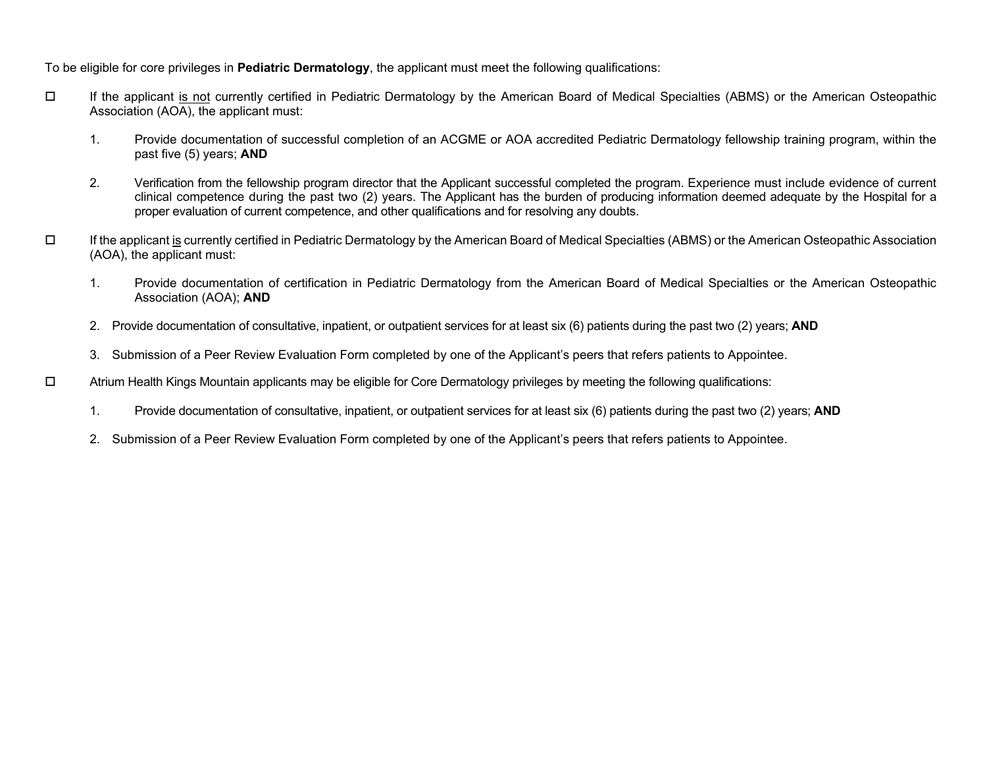To be eligible for core privileges in **Pediatric Dermatology**, the applicant must meet the following qualifications:

- If the applicant is not currently certified in Pediatric Dermatology by the American Board of Medical Specialties (ABMS) or the American Osteopathic Association (AOA), the applicant must:
	- 1. Provide documentation of successful completion of an ACGME or AOA accredited Pediatric Dermatology fellowship training program, within the past five (5) years; **AND**
	- 2. Verification from the fellowship program director that the Applicant successful completed the program. Experience must include evidence of current clinical competence during the past two (2) years. The Applicant has the burden of producing information deemed adequate by the Hospital for a proper evaluation of current competence, and other qualifications and for resolving any doubts.
- $\Box$  If the applicant is currently certified in Pediatric Dermatology by the American Board of Medical Specialties (ABMS) or the American Osteopathic Association (AOA), the applicant must:
	- 1. Provide documentation of certification in Pediatric Dermatology from the American Board of Medical Specialties or the American Osteopathic Association (AOA); **AND**
	- 2. Provide documentation of consultative, inpatient, or outpatient services for at least six (6) patients during the past two (2) years; **AND**
	- 3. Submission of a Peer Review Evaluation Form completed by one of the Applicant's peers that refers patients to Appointee.
- $\square$  Atrium Health Kings Mountain applicants may be eligible for Core Dermatology privileges by meeting the following qualifications:
	- 1. Provide documentation of consultative, inpatient, or outpatient services for at least six (6) patients during the past two (2) years; **AND**
	- 2. Submission of a Peer Review Evaluation Form completed by one of the Applicant's peers that refers patients to Appointee.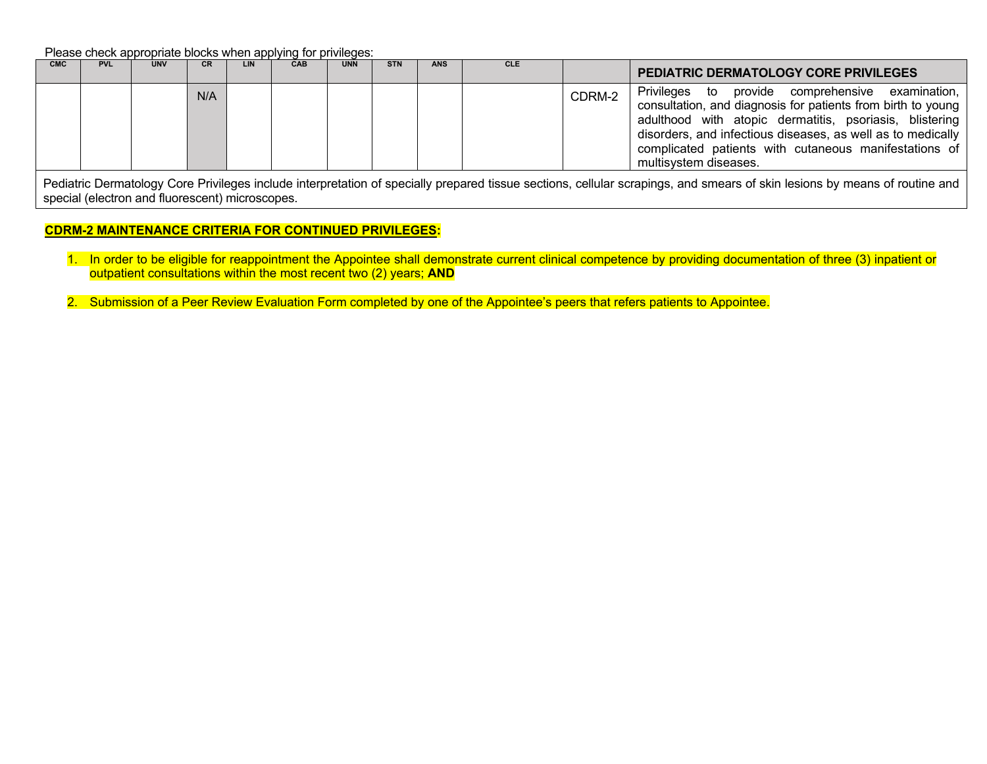Please check appropriate blocks when applying for privileges:

| <b>CMC</b> | <b>PVL</b> | <b>UNV</b> | <b>CR</b> | LIN | <b>CAB</b> | <b>UNN</b> | <b>STN</b> | <b>ANS</b> | <b>CLE</b> |        | PEDIATRIC DERMATOLOGY CORE PRIVILEGES                                                                                                                                                                                                                                                                                                 |
|------------|------------|------------|-----------|-----|------------|------------|------------|------------|------------|--------|---------------------------------------------------------------------------------------------------------------------------------------------------------------------------------------------------------------------------------------------------------------------------------------------------------------------------------------|
|            |            |            | N/A       |     |            |            |            |            |            | CDRM-2 | Privileges to<br>provide<br>examination,<br>comprehensive<br>consultation, and diagnosis for patients from birth to young<br>adulthood with atopic dermatitis, psoriasis, blistering<br>disorders, and infectious diseases, as well as to medically<br>complicated patients with cutaneous manifestations of<br>multisystem diseases. |

Pediatric Dermatology Core Privileges include interpretation of specially prepared tissue sections, cellular scrapings, and smears of skin lesions by means of routine and special (electron and fluorescent) microscopes.

### **CDRM-2 MAINTENANCE CRITERIA FOR CONTINUED PRIVILEGES:**

- 1. In order to be eligible for reappointment the Appointee shall demonstrate current clinical competence by providing documentation of three (3) inpatient or outpatient consultations within the most recent two (2) years; **AND**
- 2. Submission of a Peer Review Evaluation Form completed by one of the Appointee's peers that refers patients to Appointee.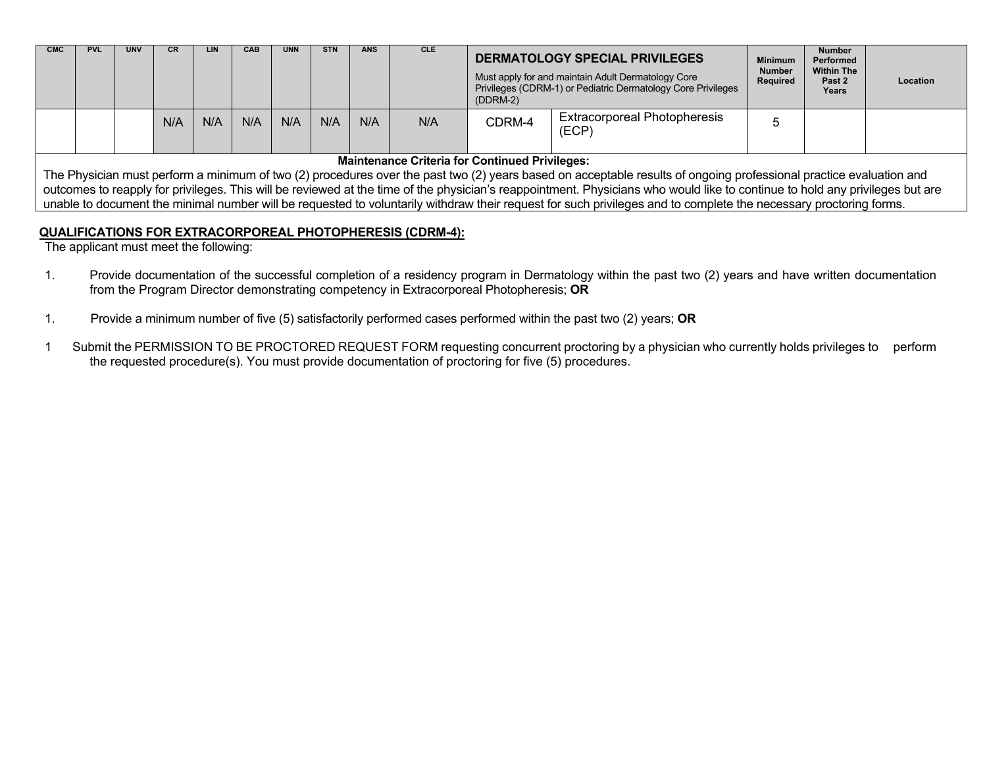| <b>CMC</b> | <b>PVL</b> | <b>UNV</b> | CR  | LIN <sub>1</sub> | <b>CAB</b> | <b>UNN</b> | <b>STN</b> | ANS | <b>CLE</b> | DERMATOLOGY SPECIAL PRIVILEGES<br>Must apply for and maintain Adult Dermatology Core<br>Privileges (CDRM-1) or Pediatric Dermatology Core Privileges<br>$(DDRM-2)$ | <b>Minimum</b><br><b>Number</b><br>Required  | <b>Number</b><br>Performed<br><b>Within The</b><br>Past 2<br>Years | Location |  |
|------------|------------|------------|-----|------------------|------------|------------|------------|-----|------------|--------------------------------------------------------------------------------------------------------------------------------------------------------------------|----------------------------------------------|--------------------------------------------------------------------|----------|--|
|            |            |            | N/A | N/A              | N/A        | N/A        | N/A        | N/A | N/A        | CDRM-4                                                                                                                                                             | <b>Extracorporeal Photopheresis</b><br>(ECP) |                                                                    |          |  |

### **Maintenance Criteria for Continued Privileges:**

The Physician must perform a minimum of two (2) procedures over the past two (2) years based on acceptable results of ongoing professional practice evaluation and outcomes to reapply for privileges. This will be reviewed at the time of the physician's reappointment. Physicians who would like to continue to hold any privileges but are unable to document the minimal number will be requested to voluntarily withdraw their request for such privileges and to complete the necessary proctoring forms.

# **QUALIFICATIONS FOR EXTRACORPOREAL PHOTOPHERESIS (CDRM-4):**

The applicant must meet the following:

- 1. Provide documentation of the successful completion of a residency program in Dermatology within the past two (2) years and have written documentation from the Program Director demonstrating competency in Extracorporeal Photopheresis; **OR**
- 1. Provide a minimum number of five (5) satisfactorily performed cases performed within the past two (2) years; **OR**
- 1 Submit the PERMISSION TO BE PROCTORED REQUEST FORM requesting concurrent proctoring by a physician who currently holds privileges to perform the requested procedure(s). You must provide documentation of proctoring for five (5) procedures.